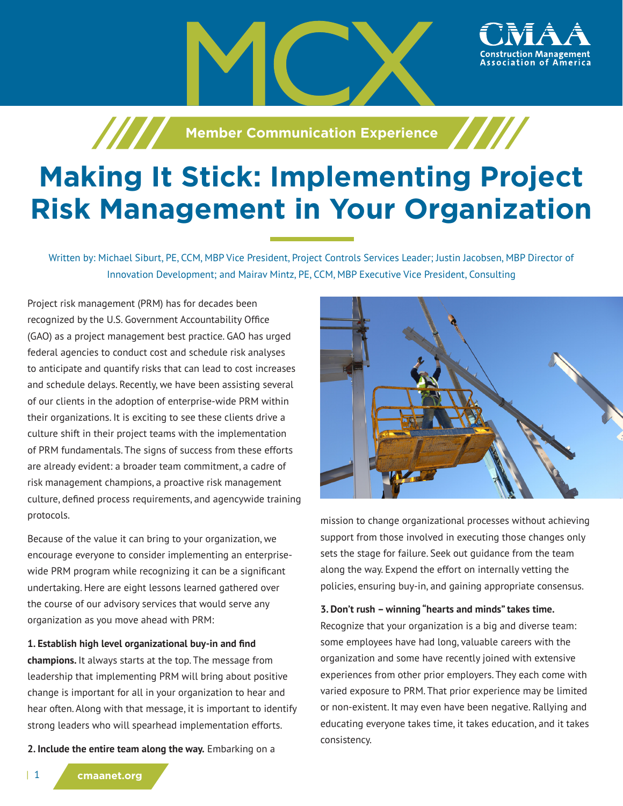

**Manufation Experience** 

# **Making It Stick: Implementing Project Risk Management in Your Organization**

Written by: Michael Siburt, PE, CCM, MBP Vice President, Project Controls Services Leader; Justin Jacobsen, MBP Director of Innovation Development; and Mairav Mintz, PE, CCM, MBP Executive Vice President, Consulting

Project risk management (PRM) has for decades been recognized by the U.S. Government Accountability Office (GAO) as a project management best practice. GAO has urged federal agencies to conduct cost and schedule risk analyses to anticipate and quantify risks that can lead to cost increases and schedule delays. Recently, we have been assisting several of our clients in the adoption of enterprise-wide PRM within their organizations. It is exciting to see these clients drive a culture shift in their project teams with the implementation of PRM fundamentals. The signs of success from these efforts are already evident: a broader team commitment, a cadre of risk management champions, a proactive risk management culture, defined process requirements, and agencywide training protocols.

Because of the value it can bring to your organization, we encourage everyone to consider implementing an enterprisewide PRM program while recognizing it can be a significant undertaking. Here are eight lessons learned gathered over the course of our advisory services that would serve any organization as you move ahead with PRM:

**1. Establish high level organizational buy-in and find** 

**champions.** It always starts at the top. The message from leadership that implementing PRM will bring about positive change is important for all in your organization to hear and hear often. Along with that message, it is important to identify strong leaders who will spearhead implementation efforts.

**2. Include the entire team along the way.** Embarking on a



mission to change organizational processes without achieving support from those involved in executing those changes only sets the stage for failure. Seek out guidance from the team along the way. Expend the effort on internally vetting the policies, ensuring buy-in, and gaining appropriate consensus.

#### **3. Don't rush – winning "hearts and minds" takes time.**

Recognize that your organization is a big and diverse team: some employees have had long, valuable careers with the organization and some have recently joined with extensive experiences from other prior employers. They each come with varied exposure to PRM. That prior experience may be limited or non-existent. It may even have been negative. Rallying and educating everyone takes time, it takes education, and it takes consistency.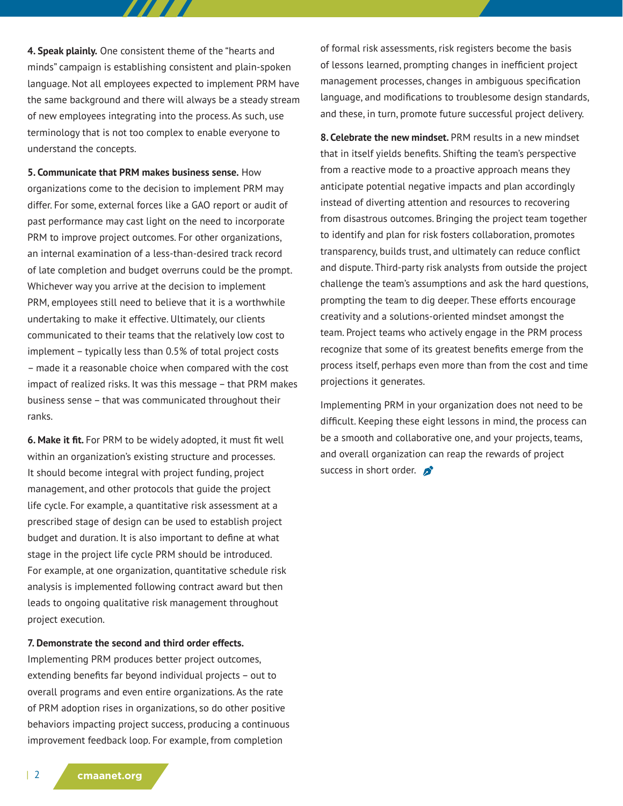**4. Speak plainly.** One consistent theme of the "hearts and minds" campaign is establishing consistent and plain-spoken language. Not all employees expected to implement PRM have the same background and there will always be a steady stream of new employees integrating into the process. As such, use terminology that is not too complex to enable everyone to understand the concepts.

777 T T

**5. Communicate that PRM makes business sense.** How organizations come to the decision to implement PRM may differ. For some, external forces like a GAO report or audit of past performance may cast light on the need to incorporate PRM to improve project outcomes. For other organizations, an internal examination of a less-than-desired track record of late completion and budget overruns could be the prompt. Whichever way you arrive at the decision to implement PRM, employees still need to believe that it is a worthwhile undertaking to make it effective. Ultimately, our clients communicated to their teams that the relatively low cost to implement – typically less than 0.5% of total project costs – made it a reasonable choice when compared with the cost impact of realized risks. It was this message – that PRM makes business sense – that was communicated throughout their ranks.

**6. Make it fit.** For PRM to be widely adopted, it must fit well within an organization's existing structure and processes. It should become integral with project funding, project management, and other protocols that guide the project life cycle. For example, a quantitative risk assessment at a prescribed stage of design can be used to establish project budget and duration. It is also important to define at what stage in the project life cycle PRM should be introduced. For example, at one organization, quantitative schedule risk analysis is implemented following contract award but then leads to ongoing qualitative risk management throughout project execution.

#### **7. Demonstrate the second and third order effects.**

Implementing PRM produces better project outcomes, extending benefits far beyond individual projects – out to overall programs and even entire organizations. As the rate of PRM adoption rises in organizations, so do other positive behaviors impacting project success, producing a continuous improvement feedback loop. For example, from completion

of formal risk assessments, risk registers become the basis of lessons learned, prompting changes in inefficient project management processes, changes in ambiguous specification language, and modifications to troublesome design standards, and these, in turn, promote future successful project delivery.

**8. Celebrate the new mindset.** PRM results in a new mindset that in itself yields benefits. Shifting the team's perspective from a reactive mode to a proactive approach means they anticipate potential negative impacts and plan accordingly instead of diverting attention and resources to recovering from disastrous outcomes. Bringing the project team together to identify and plan for risk fosters collaboration, promotes transparency, builds trust, and ultimately can reduce conflict and dispute. Third-party risk analysts from outside the project challenge the team's assumptions and ask the hard questions, prompting the team to dig deeper. These efforts encourage creativity and a solutions-oriented mindset amongst the team. Project teams who actively engage in the PRM process recognize that some of its greatest benefits emerge from the process itself, perhaps even more than from the cost and time projections it generates.

Implementing PRM in your organization does not need to be difficult. Keeping these eight lessons in mind, the process can be a smooth and collaborative one, and your projects, teams, and overall organization can reap the rewards of project success in short order.  $\mathcal{L}$